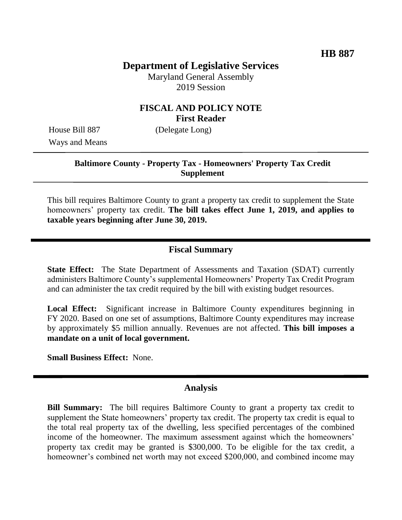# **Department of Legislative Services**

Maryland General Assembly 2019 Session

## **FISCAL AND POLICY NOTE First Reader**

House Bill 887 (Delegate Long) Ways and Means

## **Baltimore County - Property Tax - Homeowners' Property Tax Credit Supplement**

This bill requires Baltimore County to grant a property tax credit to supplement the State homeowners' property tax credit. **The bill takes effect June 1, 2019, and applies to taxable years beginning after June 30, 2019.**

#### **Fiscal Summary**

**State Effect:** The State Department of Assessments and Taxation (SDAT) currently administers Baltimore County's supplemental Homeowners' Property Tax Credit Program and can administer the tax credit required by the bill with existing budget resources.

**Local Effect:** Significant increase in Baltimore County expenditures beginning in FY 2020. Based on one set of assumptions, Baltimore County expenditures may increase by approximately \$5 million annually. Revenues are not affected. **This bill imposes a mandate on a unit of local government.**

**Small Business Effect:** None.

#### **Analysis**

**Bill Summary:** The bill requires Baltimore County to grant a property tax credit to supplement the State homeowners' property tax credit. The property tax credit is equal to the total real property tax of the dwelling, less specified percentages of the combined income of the homeowner. The maximum assessment against which the homeowners' property tax credit may be granted is \$300,000. To be eligible for the tax credit, a homeowner's combined net worth may not exceed \$200,000, and combined income may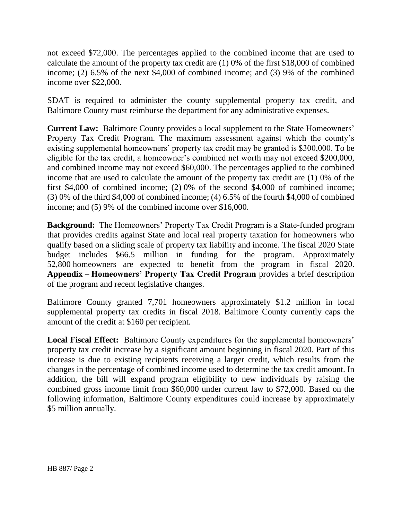not exceed \$72,000. The percentages applied to the combined income that are used to calculate the amount of the property tax credit are (1) 0% of the first \$18,000 of combined income; (2) 6.5% of the next \$4,000 of combined income; and (3) 9% of the combined income over \$22,000.

SDAT is required to administer the county supplemental property tax credit, and Baltimore County must reimburse the department for any administrative expenses.

**Current Law:** Baltimore County provides a local supplement to the State Homeowners' Property Tax Credit Program. The maximum assessment against which the county's existing supplemental homeowners' property tax credit may be granted is \$300,000. To be eligible for the tax credit, a homeowner's combined net worth may not exceed \$200,000, and combined income may not exceed \$60,000. The percentages applied to the combined income that are used to calculate the amount of the property tax credit are (1) 0% of the first \$4,000 of combined income; (2) 0% of the second \$4,000 of combined income; (3) 0% of the third \$4,000 of combined income; (4) 6.5% of the fourth \$4,000 of combined income; and (5) 9% of the combined income over \$16,000.

**Background:** The Homeowners' Property Tax Credit Program is a State-funded program that provides credits against State and local real property taxation for homeowners who qualify based on a sliding scale of property tax liability and income. The fiscal 2020 State budget includes \$66.5 million in funding for the program. Approximately 52,800 homeowners are expected to benefit from the program in fiscal 2020. **Appendix – Homeowners' Property Tax Credit Program** provides a brief description of the program and recent legislative changes.

Baltimore County granted 7,701 homeowners approximately \$1.2 million in local supplemental property tax credits in fiscal 2018. Baltimore County currently caps the amount of the credit at \$160 per recipient.

**Local Fiscal Effect:** Baltimore County expenditures for the supplemental homeowners' property tax credit increase by a significant amount beginning in fiscal 2020. Part of this increase is due to existing recipients receiving a larger credit, which results from the changes in the percentage of combined income used to determine the tax credit amount. In addition, the bill will expand program eligibility to new individuals by raising the combined gross income limit from \$60,000 under current law to \$72,000. Based on the following information, Baltimore County expenditures could increase by approximately \$5 million annually.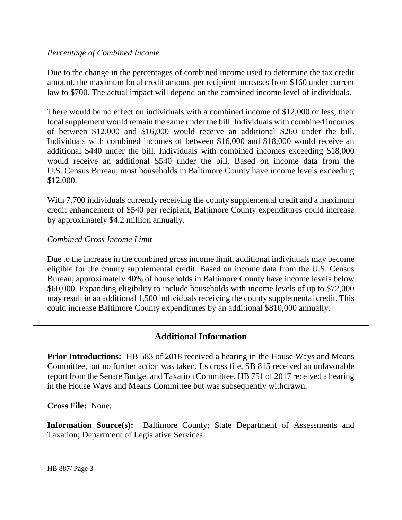#### *Percentage of Combined Income*

Due to the change in the percentages of combined income used to determine the tax credit amount, the maximum local credit amount per recipient increases from \$160 under current law to \$700. The actual impact will depend on the combined income level of individuals.

There would be no effect on individuals with a combined income of \$12,000 or less; their local supplement would remain the same under the bill. Individuals with combined incomes of between \$12,000 and \$16,000 would receive an additional \$260 under the bill. Individuals with combined incomes of between \$16,000 and \$18,000 would receive an additional \$440 under the bill. Individuals with combined incomes exceeding \$18,000 would receive an additional \$540 under the bill. Based on income data from the U.S. Census Bureau, most households in Baltimore County have income levels exceeding \$12,000.

With 7,700 individuals currently receiving the county supplemental credit and a maximum credit enhancement of \$540 per recipient, Baltimore County expenditures could increase by approximately \$4.2 million annually.

#### *Combined Gross Income Limit*

Due to the increase in the combined gross income limit, additional individuals may become eligible for the county supplemental credit. Based on income data from the U.S. Census Bureau, approximately 40% of households in Baltimore County have income levels below \$60,000. Expanding eligibility to include households with income levels of up to \$72,000 may result in an additional 1,500 individuals receiving the county supplemental credit. This could increase Baltimore County expenditures by an additional \$810,000 annually.

#### **Additional Information**

**Prior Introductions:** HB 583 of 2018 received a hearing in the House Ways and Means Committee, but no further action was taken. Its cross file, SB 815 received an unfavorable report from the Senate Budget and Taxation Committee. HB 751 of 2017 received a hearing in the House Ways and Means Committee but was subsequently withdrawn.

**Cross File:** None.

**Information Source(s):** Baltimore County; State Department of Assessments and Taxation; Department of Legislative Services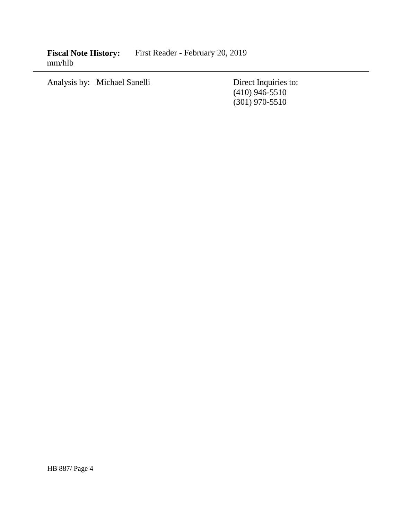Analysis by: Michael Sanelli Direct Inquiries to:

(410) 946-5510 (301) 970-5510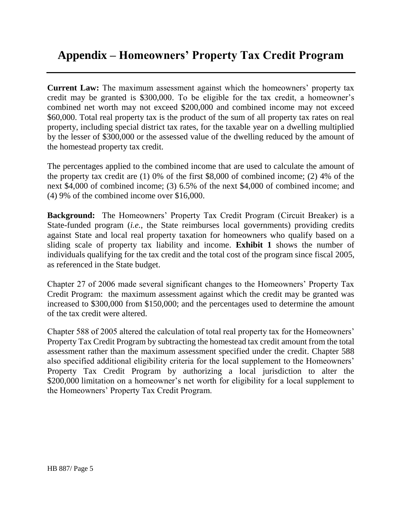# **Appendix – Homeowners' Property Tax Credit Program**

**Current Law:** The maximum assessment against which the homeowners' property tax credit may be granted is \$300,000. To be eligible for the tax credit, a homeowner's combined net worth may not exceed \$200,000 and combined income may not exceed \$60,000. Total real property tax is the product of the sum of all property tax rates on real property, including special district tax rates, for the taxable year on a dwelling multiplied by the lesser of \$300,000 or the assessed value of the dwelling reduced by the amount of the homestead property tax credit.

The percentages applied to the combined income that are used to calculate the amount of the property tax credit are (1) 0% of the first \$8,000 of combined income; (2) 4% of the next \$4,000 of combined income; (3) 6.5% of the next \$4,000 of combined income; and (4) 9% of the combined income over \$16,000.

**Background:** The Homeowners' Property Tax Credit Program (Circuit Breaker) is a State-funded program (*i.e.*, the State reimburses local governments) providing credits against State and local real property taxation for homeowners who qualify based on a sliding scale of property tax liability and income. **Exhibit 1** shows the number of individuals qualifying for the tax credit and the total cost of the program since fiscal 2005, as referenced in the State budget.

Chapter 27 of 2006 made several significant changes to the Homeowners' Property Tax Credit Program: the maximum assessment against which the credit may be granted was increased to \$300,000 from \$150,000; and the percentages used to determine the amount of the tax credit were altered.

Chapter 588 of 2005 altered the calculation of total real property tax for the Homeowners' Property Tax Credit Program by subtracting the homestead tax credit amount from the total assessment rather than the maximum assessment specified under the credit. Chapter 588 also specified additional eligibility criteria for the local supplement to the Homeowners' Property Tax Credit Program by authorizing a local jurisdiction to alter the \$200,000 limitation on a homeowner's net worth for eligibility for a local supplement to the Homeowners' Property Tax Credit Program.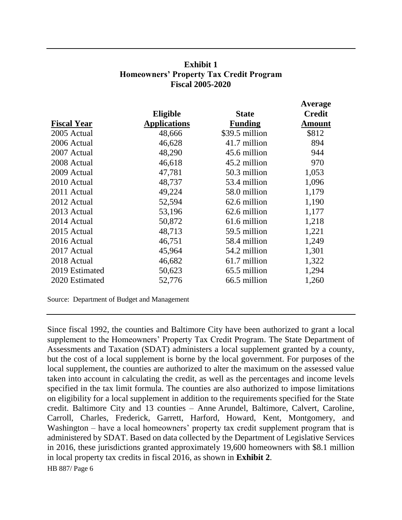## **Exhibit 1 Homeowners' Property Tax Credit Program Fiscal 2005-2020**

**Average**

|                    |                     |                | Avelage       |
|--------------------|---------------------|----------------|---------------|
|                    | <b>Eligible</b>     | <b>State</b>   | <b>Credit</b> |
| <b>Fiscal Year</b> | <b>Applications</b> | <b>Funding</b> | <b>Amount</b> |
| 2005 Actual        | 48,666              | \$39.5 million | \$812         |
| 2006 Actual        | 46,628              | 41.7 million   | 894           |
| 2007 Actual        | 48,290              | 45.6 million   | 944           |
| 2008 Actual        | 46,618              | 45.2 million   | 970           |
| 2009 Actual        | 47,781              | 50.3 million   | 1,053         |
| 2010 Actual        | 48,737              | 53.4 million   | 1,096         |
| 2011 Actual        | 49,224              | 58.0 million   | 1,179         |
| 2012 Actual        | 52,594              | 62.6 million   | 1,190         |
| 2013 Actual        | 53,196              | 62.6 million   | 1,177         |
| 2014 Actual        | 50,872              | 61.6 million   | 1,218         |
| 2015 Actual        | 48,713              | 59.5 million   | 1,221         |
| 2016 Actual        | 46,751              | 58.4 million   | 1,249         |
| 2017 Actual        | 45,964              | 54.2 million   | 1,301         |
| 2018 Actual        | 46,682              | 61.7 million   | 1,322         |
| 2019 Estimated     | 50,623              | 65.5 million   | 1,294         |
| 2020 Estimated     | 52,776              | 66.5 million   | 1,260         |
|                    |                     |                |               |

Source: Department of Budget and Management

Since fiscal 1992, the counties and Baltimore City have been authorized to grant a local supplement to the Homeowners' Property Tax Credit Program. The State Department of Assessments and Taxation (SDAT) administers a local supplement granted by a county, but the cost of a local supplement is borne by the local government. For purposes of the local supplement, the counties are authorized to alter the maximum on the assessed value taken into account in calculating the credit, as well as the percentages and income levels specified in the tax limit formula. The counties are also authorized to impose limitations on eligibility for a local supplement in addition to the requirements specified for the State credit. Baltimore City and 13 counties – Anne Arundel, Baltimore, Calvert, Caroline, Carroll, Charles, Frederick, Garrett, Harford, Howard, Kent, Montgomery, and Washington – have a local homeowners' property tax credit supplement program that is administered by SDAT. Based on data collected by the Department of Legislative Services in 2016, these jurisdictions granted approximately 19,600 homeowners with \$8.1 million in local property tax credits in fiscal 2016, as shown in **Exhibit 2**.

HB 887/ Page 6